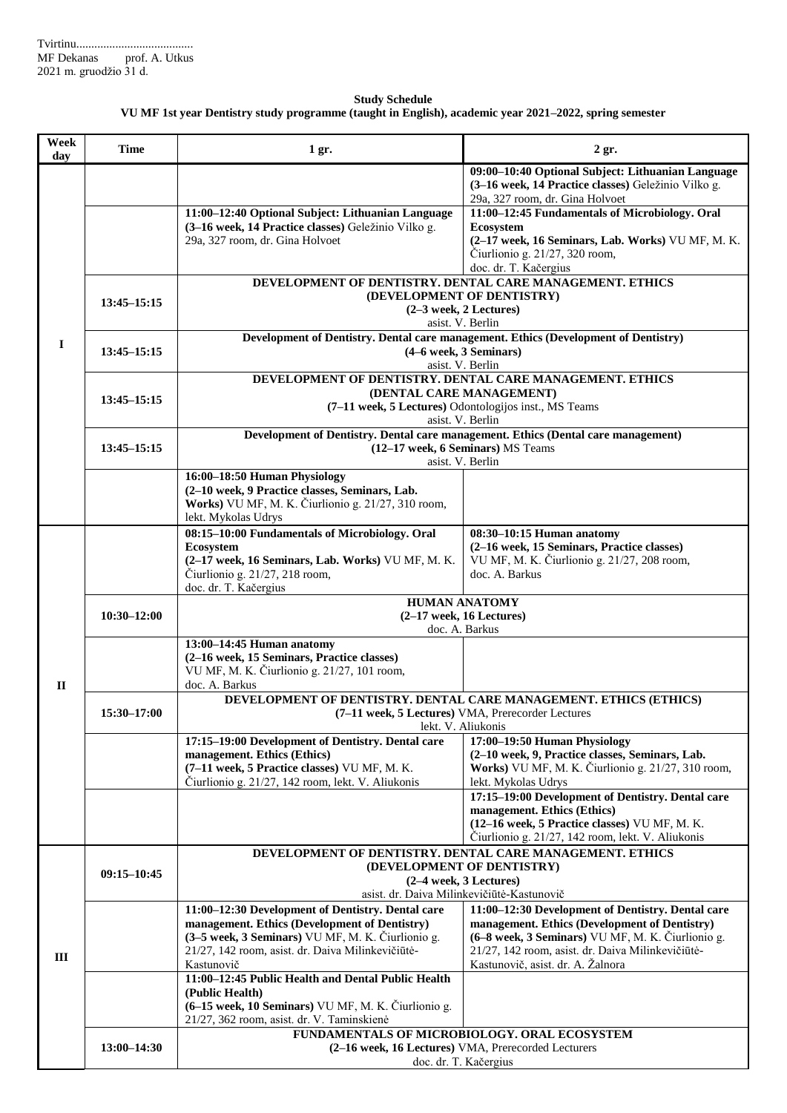**Study Schedule VU MF 1st year Dentistry study programme (taught in English), academic year 2021–2022, spring semester**

|              | <b>Time</b>     | 1 gr.                                                                                                                                             | $2$ gr.                                                                                               |
|--------------|-----------------|---------------------------------------------------------------------------------------------------------------------------------------------------|-------------------------------------------------------------------------------------------------------|
| day          |                 |                                                                                                                                                   | 09:00-10:40 Optional Subject: Lithuanian Language                                                     |
|              |                 |                                                                                                                                                   | (3-16 week, 14 Practice classes) Geležinio Vilko g.<br>29a, 327 room, dr. Gina Holvoet                |
|              |                 | 11:00-12:40 Optional Subject: Lithuanian Language                                                                                                 | 11:00-12:45 Fundamentals of Microbiology. Oral                                                        |
|              |                 | (3-16 week, 14 Practice classes) Geležinio Vilko g.<br>29a, 327 room, dr. Gina Holvoet                                                            | Ecosystem<br>(2-17 week, 16 Seminars, Lab. Works) VU MF, M. K.                                        |
|              |                 |                                                                                                                                                   | Čiurlionio g. 21/27, 320 room,                                                                        |
|              |                 | DEVELOPMENT OF DENTISTRY, DENTAL CARE MANAGEMENT, ETHICS                                                                                          | doc. dr. T. Kačergius                                                                                 |
|              | $13:45 - 15:15$ | (DEVELOPMENT OF DENTISTRY)                                                                                                                        |                                                                                                       |
|              |                 | (2-3 week, 2 Lectures)<br>asist. V. Berlin                                                                                                        |                                                                                                       |
| $\bf{I}$     |                 | Development of Dentistry. Dental care management. Ethics (Development of Dentistry)                                                               |                                                                                                       |
|              | $13:45 - 15:15$ | (4–6 week, 3 Seminars)<br>asist. V. Berlin                                                                                                        |                                                                                                       |
|              | $13:45 - 15:15$ | DEVELOPMENT OF DENTISTRY. DENTAL CARE MANAGEMENT. ETHICS                                                                                          |                                                                                                       |
|              |                 | (DENTAL CARE MANAGEMENT)                                                                                                                          | (7-11 week, 5 Lectures) Odontologijos inst., MS Teams                                                 |
|              |                 | asist. V. Berlin                                                                                                                                  |                                                                                                       |
|              | $13:45 - 15:15$ | Development of Dentistry. Dental care management. Ethics (Dental care management)<br>(12-17 week, 6 Seminars) MS Teams                            |                                                                                                       |
|              |                 | asist. V. Berlin<br>16:00-18:50 Human Physiology                                                                                                  |                                                                                                       |
|              |                 | (2-10 week, 9 Practice classes, Seminars, Lab.                                                                                                    |                                                                                                       |
|              |                 | Works) VU MF, M. K. Čiurlionio g. 21/27, 310 room,<br>lekt. Mykolas Udrys                                                                         |                                                                                                       |
|              |                 | 08:15-10:00 Fundamentals of Microbiology. Oral                                                                                                    | 08:30-10:15 Human anatomy                                                                             |
|              |                 | Ecosystem<br>(2-17 week, 16 Seminars, Lab. Works) VU MF, M. K.                                                                                    | (2-16 week, 15 Seminars, Practice classes)<br>VU MF, M. K. Čiurlionio g. 21/27, 208 room,             |
|              |                 | Čiurlionio g. 21/27, 218 room,                                                                                                                    | doc. A. Barkus                                                                                        |
|              |                 | doc. dr. T. Kačergius                                                                                                                             |                                                                                                       |
|              |                 |                                                                                                                                                   |                                                                                                       |
|              | $10:30 - 12:00$ | <b>HUMAN ANATOMY</b>                                                                                                                              | $(2-17$ week, 16 Lectures)                                                                            |
|              |                 | doc. A. Barkus<br>13:00-14:45 Human anatomy                                                                                                       |                                                                                                       |
|              |                 | (2-16 week, 15 Seminars, Practice classes)                                                                                                        |                                                                                                       |
| $\mathbf{I}$ |                 | VU MF, M. K. Čiurlionio g. 21/27, 101 room,<br>doc. A. Barkus                                                                                     |                                                                                                       |
|              |                 | DEVELOPMENT OF DENTISTRY. DENTAL CARE MANAGEMENT. ETHICS (ETHICS)                                                                                 |                                                                                                       |
|              | 15:30-17:00     | (7-11 week, 5 Lectures) VMA, Prerecorder Lectures<br>lekt. V. Aliukonis                                                                           |                                                                                                       |
|              |                 | 17:15-19:00 Development of Dentistry. Dental care                                                                                                 | 17:00-19:50 Human Physiology                                                                          |
|              |                 | management. Ethics (Ethics)<br>(7-11 week, 5 Practice classes) VU MF, M. K.                                                                       | (2-10 week, 9, Practice classes, Seminars, Lab.<br>Works) VU MF, M. K. Čiurlionio g. 21/27, 310 room, |
|              |                 | Čiurlionio g. 21/27, 142 room, lekt. V. Aliukonis                                                                                                 | lekt. Mykolas Udrys<br>17:15-19:00 Development of Dentistry. Dental care                              |
|              |                 |                                                                                                                                                   | management. Ethics (Ethics)                                                                           |
|              |                 |                                                                                                                                                   | (12-16 week, 5 Practice classes) VU MF, M. K.<br>Čiurlionio g. 21/27, 142 room, lekt. V. Aliukonis    |
|              |                 | DEVELOPMENT OF DENTISTRY. DENTAL CARE MANAGEMENT. ETHICS                                                                                          |                                                                                                       |
|              | $09:15 - 10:45$ | (DEVELOPMENT OF DENTISTRY)<br>$(2-4$ week, 3 Lectures)                                                                                            |                                                                                                       |
|              |                 | asist. dr. Daiva Milinkevičiūtė-Kastunovič                                                                                                        |                                                                                                       |
|              |                 | 11:00-12:30 Development of Dentistry. Dental care<br>management. Ethics (Development of Dentistry)                                                | 11:00-12:30 Development of Dentistry. Dental care<br>management. Ethics (Development of Dentistry)    |
|              |                 | (3–5 week, 3 Seminars) VU MF, M. K. Čiurlionio g.                                                                                                 | (6–8 week, 3 Seminars) VU MF, M. K. Čiurlionio g.                                                     |
| III          |                 | 21/27, 142 room, asist. dr. Daiva Milinkevičiūtė-<br>Kastunovič                                                                                   | 21/27, 142 room, asist. dr. Daiva Milinkevičiūtė-<br>Kastunovič, asist. dr. A. Žalnora                |
|              |                 | 11:00-12:45 Public Health and Dental Public Health<br>(Public Health)                                                                             |                                                                                                       |
|              |                 | (6-15 week, 10 Seminars) VU MF, M. K. Čiurlionio g.                                                                                               |                                                                                                       |
|              | 13:00-14:30     | 21/27, 362 room, asist. dr. V. Taminskienė<br>FUNDAMENTALS OF MICROBIOLOGY. ORAL ECOSYSTEM<br>(2-16 week, 16 Lectures) VMA, Prerecorded Lecturers |                                                                                                       |